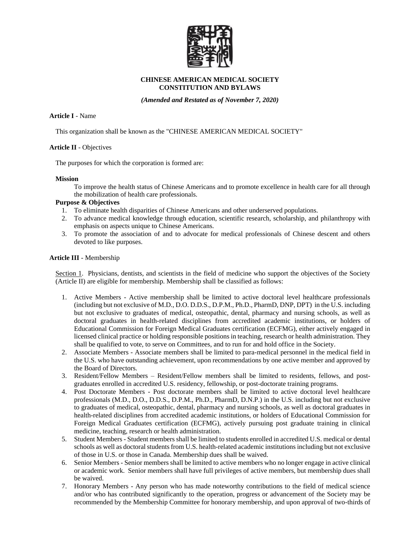

## **CHINESE AMERICAN MEDICAL SOCIETY CONSTITUTION AND BYLAWS**

*(Amended and Restated as of November 7, 2020)*

**Article I** - Name

This organization shall be known as the "CHINESE AMERICAN MEDICAL SOCIETY"

# **Article II** - Objectives

The purposes for which the corporation is formed are:

### **Mission**

To improve the health status of Chinese Americans and to promote excellence in health care for all through the mobilization of health care professionals.

## **Purpose & Objectives**

- 1. To eliminate health disparities of Chinese Americans and other underserved populations.
- 2. To advance medical knowledge through education, scientific research, scholarship, and philanthropy with emphasis on aspects unique to Chinese Americans.
- 3. To promote the association of and to advocate for medical professionals of Chinese descent and others devoted to like purposes.

## **Article III** - Membership

Section 1. Physicians, dentists, and scientists in the field of medicine who support the objectives of the Society (Article II) are eligible for membership. Membership shall be classified as follows:

- 1. Active Members Active membership shall be limited to active doctoral level healthcare professionals (including but not exclusive of M.D., D.O. D.D.S., D.P.M., Ph.D., PharmD, DNP, DPT) in the U.S. including but not exclusive to graduates of medical, osteopathic, dental, pharmacy and nursing schools, as well as doctoral graduates in health-related disciplines from accredited academic institutions, or holders of Educational Commission for Foreign Medical Graduates certification (ECFMG), either actively engaged in licensed clinical practice or holding responsible positions in teaching, research or health administration. They shall be qualified to vote, to serve on Committees, and to run for and hold office in the Society.
- 2. Associate Members Associate members shall be limited to para-medical personnel in the medical field in the U.S. who have outstanding achievement, upon recommendations by one active member and approved by the Board of Directors.
- 3. Resident/Fellow Members Resident/Fellow members shall be limited to residents, fellows, and postgraduates enrolled in accredited U.S. residency, fellowship, or post-doctorate training programs.
- 4. Post Doctorate Members Post doctorate members shall be limited to active doctoral level healthcare professionals (M.D., D.O., D.D.S., D.P.M., Ph.D., PharmD, D.N.P.) in the U.S. including but not exclusive to graduates of medical, osteopathic, dental, pharmacy and nursing schools, as well as doctoral graduates in health-related disciplines from accredited academic institutions, or holders of Educational Commission for Foreign Medical Graduates certification (ECFMG), actively pursuing post graduate training in clinical medicine, teaching, research or health administration.
- 5. Student Members Student members shall be limited to students enrolled in accredited U.S. medical or dental schools as well as doctoral students from U.S. health-related academic institutions including but not exclusive of those in U.S. or those in Canada. Membership dues shall be waived.
- 6. Senior Members Senior members shall be limited to active members who no longer engage in active clinical or academic work. Senior members shall have full privileges of active members, but membership dues shall be waived.
- 7. Honorary Members Any person who has made noteworthy contributions to the field of medical science and/or who has contributed significantly to the operation, progress or advancement of the Society may be recommended by the Membership Committee for honorary membership, and upon approval of two-thirds of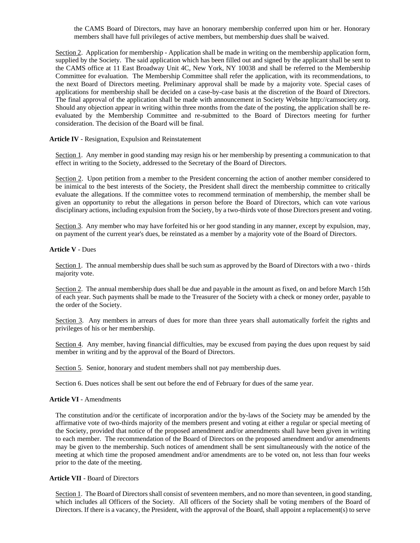the CAMS Board of Directors, may have an honorary membership conferred upon him or her. Honorary members shall have full privileges of active members, but membership dues shall be waived.

Section 2. Application for membership - Application shall be made in writing on the membership application form, supplied by the Society. The said application which has been filled out and signed by the applicant shall be sent to the CAMS office at 11 East Broadway Unit 4C, New York, NY 10038 and shall be referred to the Membership Committee for evaluation. The Membership Committee shall refer the application, with its recommendations, to the next Board of Directors meeting. Preliminary approval shall be made by a majority vote. Special cases of applications for membership shall be decided on a case-by-case basis at the discretion of the Board of Directors. The final approval of the application shall be made with announcement in Society Website http://camsociety.org. Should any objection appear in writing within three months from the date of the posting, the application shall be reevaluated by the Membership Committee and re-submitted to the Board of Directors meeting for further consideration. The decision of the Board will be final.

#### **Article IV** - Resignation, Expulsion and Reinstatement

Section 1. Any member in good standing may resign his or her membership by presenting a communication to that effect in writing to the Society, addressed to the Secretary of the Board of Directors.

Section 2. Upon petition from a member to the President concerning the action of another member considered to be inimical to the best interests of the Society, the President shall direct the membership committee to critically evaluate the allegations. If the committee votes to recommend termination of membership, the member shall be given an opportunity to rebut the allegations in person before the Board of Directors, which can vote various disciplinary actions, including expulsion from the Society, by a two-thirds vote of those Directors present and voting.

Section 3. Any member who may have forfeited his or her good standing in any manner, except by expulsion, may, on payment of the current year's dues, be reinstated as a member by a majority vote of the Board of Directors.

#### **Article V** - Dues

Section 1. The annual membership dues shall be such sum as approved by the Board of Directors with a two - thirds majority vote.

Section 2. The annual membership dues shall be due and payable in the amount as fixed, on and before March 15th of each year. Such payments shall be made to the Treasurer of the Society with a check or money order, payable to the order of the Society.

Section 3. Any members in arrears of dues for more than three years shall automatically forfeit the rights and privileges of his or her membership.

Section 4. Any member, having financial difficulties, may be excused from paying the dues upon request by said member in writing and by the approval of the Board of Directors.

Section 5. Senior, honorary and student members shall not pay membership dues.

Section 6. Dues notices shall be sent out before the end of February for dues of the same year.

### **Article VI** - Amendments

The constitution and/or the certificate of incorporation and/or the by-laws of the Society may be amended by the affirmative vote of two-thirds majority of the members present and voting at either a regular or special meeting of the Society, provided that notice of the proposed amendment and/or amendments shall have been given in writing to each member. The recommendation of the Board of Directors on the proposed amendment and/or amendments may be given to the membership. Such notices of amendment shall be sent simultaneously with the notice of the meeting at which time the proposed amendment and/or amendments are to be voted on, not less than four weeks prior to the date of the meeting.

## **Article VII** - Board of Directors

Section 1. The Board of Directors shall consist of seventeen members, and no more than seventeen, in good standing, which includes all Officers of the Society. All officers of the Society shall be voting members of the Board of Directors. If there is a vacancy, the President, with the approval of the Board, shall appoint a replacement(s) to serve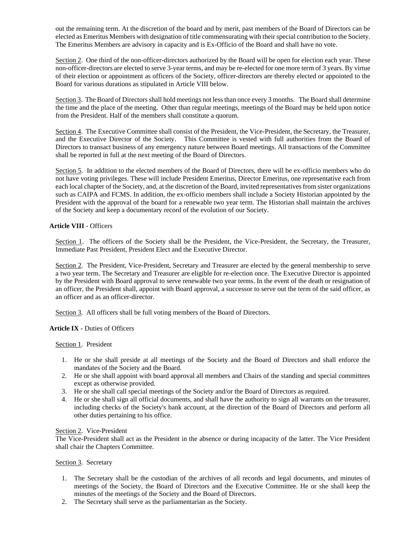out the remaining term. At the discretion of the board and by merit, past members of the Board of Directors can be elected as Emeritus Members with designation of title commensurating with their special contribution to the Society. The Emeritus Members are advisory in capacity and is Ex-Officio of the Board and shall have no vote.

Section 2. One third of the non-officer-directors authorized by the Board will be open for election each year. These non-officer-directors are elected to serve 3-year terms, and may be re-elected for one more term of 3 years. By virtue of their election or appointment as officers of the Society, officer-directors are thereby elected or appointed to the Board for various durations as stipulated in Article VIII below.

Section 3. The Board of Directors shall hold meetings not less than once every 3 months. The Board shall determine the time and the place of the meeting. Other than regular meetings, meetings of the Board may be held upon notice from the President. Half of the members shall constitute a quorum.

Section 4. The Executive Committee shall consist of the President, the Vice-President, the Secretary, the Treasurer, and the Executive Director of the Society. This Committee is vested with full authorities from the Board of Directors to transact business of any emergency nature between Board meetings. All transactions of the Committee shall be reported in full at the next meeting of the Board of Directors.

Section 5. In addition to the elected members of the Board of Directors, there will be ex-officio members who do not have voting privileges. These will include President Emeritus, Director Emeritus, one representative each from each local chapter of the Society, and, at the discretion of the Board, invited representatives from sister organizations such as CAIPA and FCMS. In addition, the ex-officio members shall include a Society Historian appointed by the President with the approval of the board for a renewable two year term. The Historian shall maintain the archives of the Society and keep a documentary record of the evolution of our Society.

# **Article VIII** - Officers

Section 1. The officers of the Society shall be the President, the Vice-President, the Secretary, the Treasurer, Immediate Past President, President Elect and the Executive Director.

Section 2. The President, Vice-President, Secretary and Treasurer are elected by the general membership to serve a two year term. The Secretary and Treasurer are eligible for re-election once. The Executive Director is appointed by the President with Board approval to serve renewable two year terms. In the event of the death or resignation of an officer, the President shall, appoint with Board approval, a successor to serve out the term of the said officer, as an officer and as an officer-director.

Section 3. All officers shall be full voting members of the Board of Directors.

# **Article IX** - Duties of Officers

Section 1. President

- 1. He or she shall preside at all meetings of the Society and the Board of Directors and shall enforce the mandates of the Society and the Board.
- 2. He or she shall appoint with board approval all members and Chairs of the standing and special committees except as otherwise provided.
- 3. He or she shall call special meetings of the Society and/or the Board of Directors as required.
- 4. He or she shall sign all official documents, and shall have the authority to sign all warrants on the treasurer, including checks of the Society's bank account, at the direction of the Board of Directors and perform all other duties pertaining to his office.

### Section 2. Vice-President

The Vice-President shall act as the President in the absence or during incapacity of the latter. The Vice President shall chair the Chapters Committee.

### Section 3. Secretary

- 1. The Secretary shall be the custodian of the archives of all records and legal documents, and minutes of meetings of the Society, the Board of Directors and the Executive Committee. He or she shall keep the minutes of the meetings of the Society and the Board of Directors.
- 2. The Secretary shall serve as the parliamentarian as the Society.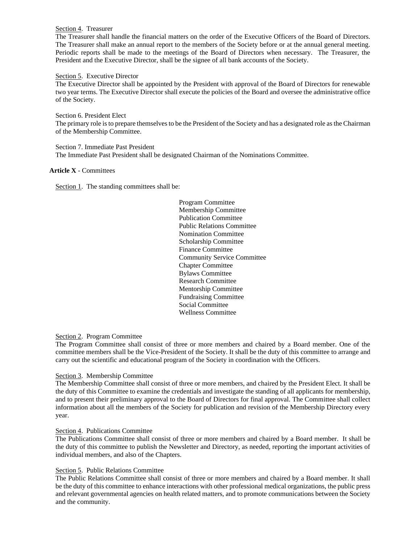## Section 4. Treasurer

The Treasurer shall handle the financial matters on the order of the Executive Officers of the Board of Directors. The Treasurer shall make an annual report to the members of the Society before or at the annual general meeting. Periodic reports shall be made to the meetings of the Board of Directors when necessary. The Treasurer, the President and the Executive Director, shall be the signee of all bank accounts of the Society.

## Section 5. Executive Director

The Executive Director shall be appointed by the President with approval of the Board of Directors for renewable two year terms. The Executive Director shall execute the policies of the Board and oversee the administrative office of the Society.

Section 6. President Elect The primary role is to prepare themselves to be the President of the Society and has a designated role as the Chairman of the Membership Committee.

Section 7. Immediate Past President The Immediate Past President shall be designated Chairman of the Nominations Committee.

## **Article X** - Committees

Section 1. The standing committees shall be:

Program Committee Membership Committee Publication Committee Public Relations Committee Nomination Committee Scholarship Committee Finance Committee Community Service Committee Chapter Committee Bylaws Committee Research Committee Mentorship Committee Fundraising Committee Social Committee Wellness Committee

### Section 2. Program Committee

The Program Committee shall consist of three or more members and chaired by a Board member. One of the committee members shall be the Vice-President of the Society. It shall be the duty of this committee to arrange and carry out the scientific and educational program of the Society in coordination with the Officers.

# Section 3. Membership Committee

The Membership Committee shall consist of three or more members, and chaired by the President Elect. It shall be the duty of this Committee to examine the credentials and investigate the standing of all applicants for membership, and to present their preliminary approval to the Board of Directors for final approval. The Committee shall collect information about all the members of the Society for publication and revision of the Membership Directory every year.

### Section 4. Publications Committee

The Publications Committee shall consist of three or more members and chaired by a Board member. It shall be the duty of this committee to publish the Newsletter and Directory, as needed, reporting the important activities of individual members, and also of the Chapters.

### Section 5. Public Relations Committee

The Public Relations Committee shall consist of three or more members and chaired by a Board member. It shall be the duty of this committee to enhance interactions with other professional medical organizations, the public press and relevant governmental agencies on health related matters, and to promote communications between the Society and the community.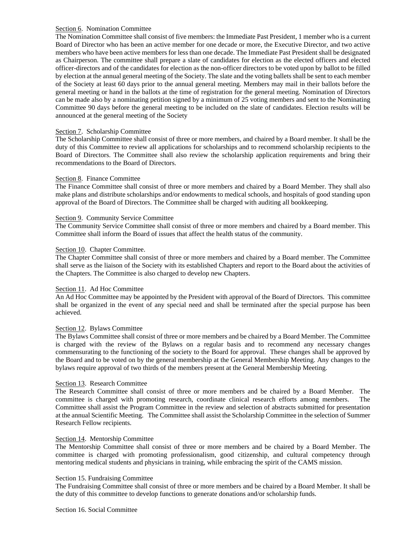## Section 6. Nomination Committee

The Nomination Committee shall consist of five members: the Immediate Past President, 1 member who is a current Board of Director who has been an active member for one decade or more, the Executive Director, and two active members who have been active members for less than one decade. The Immediate Past President shall be designated as Chairperson. The committee shall prepare a slate of candidates for election as the elected officers and elected officer-directors and of the candidates for election as the non-officer directors to be voted upon by ballot to be filled by election at the annual general meeting of the Society. The slate and the voting ballets shall be sent to each member of the Society at least 60 days prior to the annual general meeting. Members may mail in their ballots before the general meeting or hand in the ballots at the time of registration for the general meeting. Nomination of Directors can be made also by a nominating petition signed by a minimum of 25 voting members and sent to the Nominating Committee 90 days before the general meeting to be included on the slate of candidates. Election results will be announced at the general meeting of the Society

### Section 7. Scholarship Committee

The Scholarship Committee shall consist of three or more members, and chaired by a Board member. It shall be the duty of this Committee to review all applications for scholarships and to recommend scholarship recipients to the Board of Directors. The Committee shall also review the scholarship application requirements and bring their recommendations to the Board of Directors.

## Section 8. Finance Committee

The Finance Committee shall consist of three or more members and chaired by a Board Member. They shall also make plans and distribute scholarships and/or endowments to medical schools, and hospitals of good standing upon approval of the Board of Directors. The Committee shall be charged with auditing all bookkeeping.

## Section 9. Community Service Committee

The Community Service Committee shall consist of three or more members and chaired by a Board member. This Committee shall inform the Board of issues that affect the health status of the community.

## Section 10. Chapter Committee.

The Chapter Committee shall consist of three or more members and chaired by a Board member. The Committee shall serve as the liaison of the Society with its established Chapters and report to the Board about the activities of the Chapters. The Committee is also charged to develop new Chapters.

# Section 11. Ad Hoc Committee

An Ad Hoc Committee may be appointed by the President with approval of the Board of Directors. This committee shall be organized in the event of any special need and shall be terminated after the special purpose has been achieved.

# Section 12. Bylaws Committee

The Bylaws Committee shall consist of three or more members and be chaired by a Board Member. The Committee is charged with the review of the Bylaws on a regular basis and to recommend any necessary changes commensurating to the functioning of the society to the Board for approval. These changes shall be approved by the Board and to be voted on by the general membership at the General Membership Meeting. Any changes to the bylaws require approval of two thirds of the members present at the General Membership Meeting.

### Section 13. Research Committee

The Research Committee shall consist of three or more members and be chaired by a Board Member. The committee is charged with promoting research, coordinate clinical research efforts among members. The Committee shall assist the Program Committee in the review and selection of abstracts submitted for presentation at the annual Scientific Meeting. The Committee shall assist the Scholarship Committee in the selection of Summer Research Fellow recipients.

### Section 14. Mentorship Committee

The Mentorship Committee shall consist of three or more members and be chaired by a Board Member. The committee is charged with promoting professionalism, good citizenship, and cultural competency through mentoring medical students and physicians in training, while embracing the spirit of the CAMS mission.

### Section 15. Fundraising Committee

The Fundraising Committee shall consist of three or more members and be chaired by a Board Member. It shall be the duty of this committee to develop functions to generate donations and/or scholarship funds.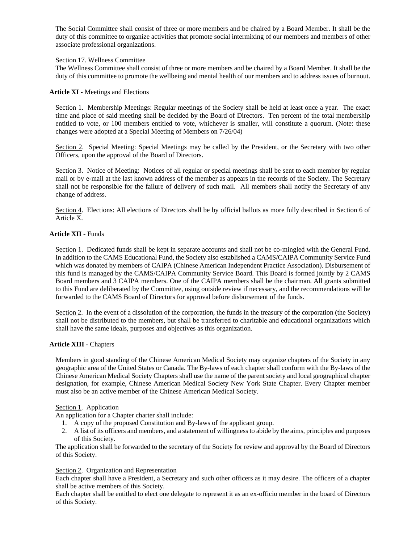The Social Committee shall consist of three or more members and be chaired by a Board Member. It shall be the duty of this committee to organize activities that promote social intermixing of our members and members of other associate professional organizations.

## Section 17. Wellness Committee

The Wellness Committee shall consist of three or more members and be chaired by a Board Member. It shall be the duty of this committee to promote the wellbeing and mental health of our members and to address issues of burnout.

## **Article XI** - Meetings and Elections

Section 1. Membership Meetings: Regular meetings of the Society shall be held at least once a year. The exact time and place of said meeting shall be decided by the Board of Directors. Ten percent of the total membership entitled to vote, or 100 members entitled to vote, whichever is smaller, will constitute a quorum. (Note: these changes were adopted at a Special Meeting of Members on 7/26/04)

Section 2. Special Meeting: Special Meetings may be called by the President, or the Secretary with two other Officers, upon the approval of the Board of Directors.

Section 3. Notice of Meeting: Notices of all regular or special meetings shall be sent to each member by regular mail or by e-mail at the last known address of the member as appears in the records of the Society. The Secretary shall not be responsible for the failure of delivery of such mail. All members shall notify the Secretary of any change of address.

Section 4. Elections: All elections of Directors shall be by official ballots as more fully described in Section 6 of Article X.

## **Article XII** - Funds

Section 1. Dedicated funds shall be kept in separate accounts and shall not be co-mingled with the General Fund. In addition to the CAMS Educational Fund, the Society also established a CAMS/CAIPA Community Service Fund which was donated by members of CAIPA (Chinese American Independent Practice Association). Disbursement of this fund is managed by the CAMS/CAIPA Community Service Board. This Board is formed jointly by 2 CAMS Board members and 3 CAIPA members. One of the CAIPA members shall be the chairman. All grants submitted to this Fund are deliberated by the Committee, using outside review if necessary, and the recommendations will be forwarded to the CAMS Board of Directors for approval before disbursement of the funds.

Section 2. In the event of a dissolution of the corporation, the funds in the treasury of the corporation (the Society) shall not be distributed to the members, but shall be transferred to charitable and educational organizations which shall have the same ideals, purposes and objectives as this organization.

### **Article XIII** - Chapters

Members in good standing of the Chinese American Medical Society may organize chapters of the Society in any geographic area of the United States or Canada. The By-laws of each chapter shall conform with the By-laws of the Chinese American Medical Society Chapters shall use the name of the parent society and local geographical chapter designation, for example, Chinese American Medical Society New York State Chapter. Every Chapter member must also be an active member of the Chinese American Medical Society.

### Section 1. Application

An application for a Chapter charter shall include:

- 1. A copy of the proposed Constitution and By-laws of the applicant group.
- 2. A list of its officers and members, and a statement of willingness to abide by the aims, principles and purposes of this Society.

The application shall be forwarded to the secretary of the Society for review and approval by the Board of Directors of this Society.

### Section 2. Organization and Representation

Each chapter shall have a President, a Secretary and such other officers as it may desire. The officers of a chapter shall be active members of this Society.

Each chapter shall be entitled to elect one delegate to represent it as an ex-officio member in the board of Directors of this Society.